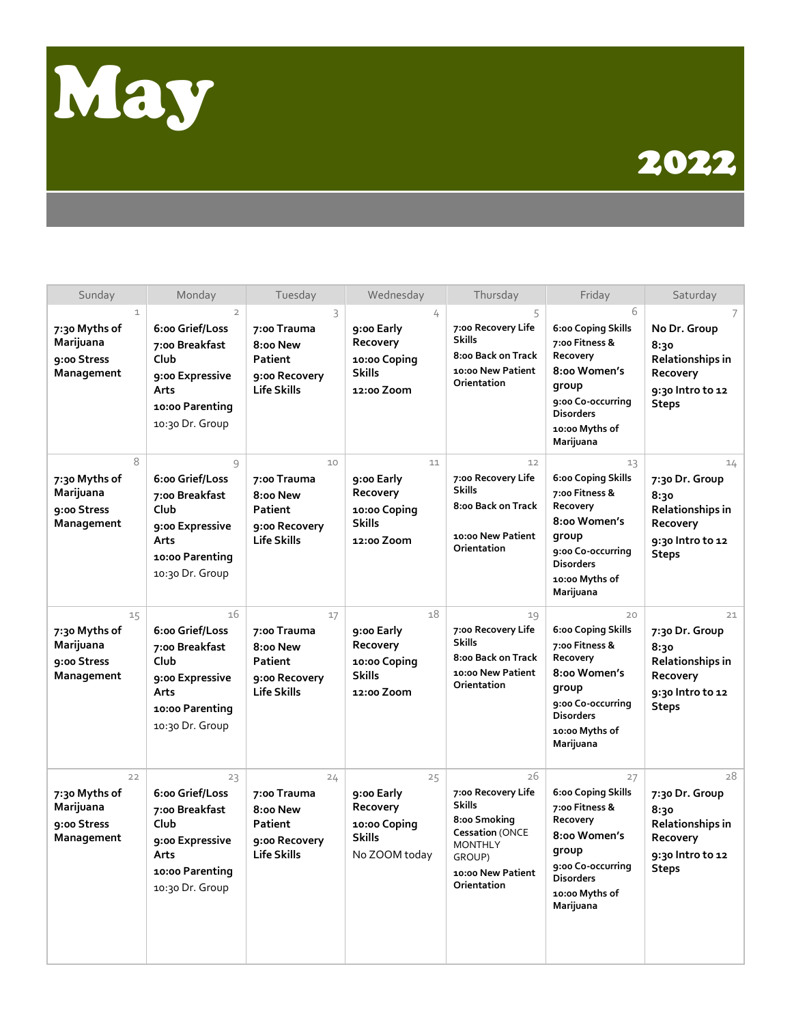

## 2022

| Sunday                                                                  | Monday                                                                                                                       | Tuesday                                                                         | Wednesday                                                                      | Thursday                                                                                                                                            | Friday                                                                                                                                                  | Saturday                                                                                                |
|-------------------------------------------------------------------------|------------------------------------------------------------------------------------------------------------------------------|---------------------------------------------------------------------------------|--------------------------------------------------------------------------------|-----------------------------------------------------------------------------------------------------------------------------------------------------|---------------------------------------------------------------------------------------------------------------------------------------------------------|---------------------------------------------------------------------------------------------------------|
| $\mathbf{1}$<br>7:30 Myths of<br>Marijuana<br>9:00 Stress<br>Management | $\overline{2}$<br>6:00 Grief/Loss<br>7:00 Breakfast<br>Club<br>9:00 Expressive<br>Arts<br>10:00 Parenting<br>10:30 Dr. Group | 3<br>7:00 Trauma<br>8:00 New<br>Patient<br>9:00 Recovery<br><b>Life Skills</b>  | 4<br>9:00 Early<br>Recovery<br>10:00 Coping<br><b>Skills</b><br>12:00 Zoom     | 5<br>7:00 Recovery Life<br><b>Skills</b><br>8:00 Back on Track<br>10:00 New Patient<br>Orientation                                                  | 6<br>6:00 Coping Skills<br>7:00 Fitness &<br>Recovery<br>8:00 Women's<br>group<br>9:00 Co-occurring<br><b>Disorders</b><br>10:00 Myths of<br>Marijuana  | 7<br>No Dr. Group<br>8:30<br>Relationships in<br>Recovery<br>9:30 Intro to 12<br><b>Steps</b>           |
| 8<br>7:30 Myths of<br>Marijuana<br>9:00 Stress<br>Management            | 9<br>6:00 Grief/Loss<br>7:00 Breakfast<br>Club<br>9:00 Expressive<br>Arts<br>10:00 Parenting<br>10:30 Dr. Group              | 10<br>7:00 Trauma<br>8:00 New<br>Patient<br>9:00 Recovery<br><b>Life Skills</b> | 11<br>9:00 Early<br>Recovery<br>10:00 Coping<br><b>Skills</b><br>12:00 Zoom    | 12<br>7:00 Recovery Life<br><b>Skills</b><br>8:00 Back on Track<br>10:00 New Patient<br>Orientation                                                 | 13<br>6:00 Coping Skills<br>7:00 Fitness &<br>Recovery<br>8:00 Women's<br>group<br>9:00 Co-occurring<br><b>Disorders</b><br>10:00 Myths of<br>Marijuana | 14<br>7:30 Dr. Group<br>8:30<br>Relationships in<br>Recovery<br>9:30 Intro to 12<br><b>Steps</b>        |
| 15<br>7:30 Myths of<br>Marijuana<br>9:00 Stress<br>Management           | 16<br>6:00 Grief/Loss<br>7:00 Breakfast<br>Club<br>9:00 Expressive<br>Arts<br>10:00 Parenting<br>10:30 Dr. Group             | 17<br>7:00 Trauma<br>8:00 New<br>Patient<br>9:00 Recovery<br><b>Life Skills</b> | 18<br>9:00 Early<br>Recovery<br>10:00 Coping<br><b>Skills</b><br>12:00 Zoom    | 19<br>7:00 Recovery Life<br><b>Skills</b><br>8:00 Back on Track<br>10:00 New Patient<br>Orientation                                                 | 20<br>6:00 Coping Skills<br>7:00 Fitness &<br>Recovery<br>8:00 Women's<br>group<br>9:00 Co-occurring<br><b>Disorders</b><br>10:00 Myths of<br>Marijuana | 21<br>7:30 Dr. Group<br>8:30<br><b>Relationships in</b><br>Recovery<br>9:30 Intro to 12<br><b>Steps</b> |
| 22<br>7:30 Myths of<br>Marijuana<br>9:00 Stress<br>Management           | 23<br>6:00 Grief/Loss<br>7:00 Breakfast<br>Club<br>9:00 Expressive<br>Arts<br>10:00 Parenting<br>10:30 Dr. Group             | 24<br>7:00 Trauma<br>8:00 New<br>Patient<br>9:00 Recovery<br><b>Life Skills</b> | 25<br>9:00 Early<br>Recovery<br>10:00 Coping<br><b>Skills</b><br>No ZOOM today | 26<br>7:00 Recovery Life<br><b>Skills</b><br>8:00 Smoking<br><b>Cessation (ONCE</b><br><b>MONTHLY</b><br>GROUP)<br>10:00 New Patient<br>Orientation | 27<br>6:00 Coping Skills<br>7:00 Fitness &<br>Recovery<br>8:00 Women's<br>group<br>9:00 Co-occurring<br><b>Disorders</b><br>10:00 Myths of<br>Marijuana | 28<br>7:30 Dr. Group<br>8:30<br>Relationships in<br>Recovery<br>9:30 Intro to 12<br><b>Steps</b>        |